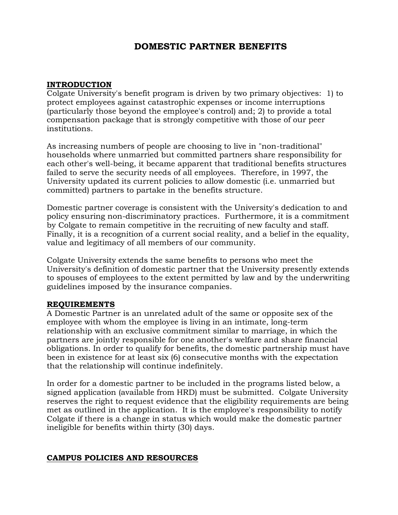### **DOMESTIC PARTNER BENEFITS**

#### **INTRODUCTION**

Colgate University's benefit program is driven by two primary objectives: 1) to protect employees against catastrophic expenses or income interruptions (particularly those beyond the employee's control) and; 2) to provide a total compensation package that is strongly competitive with those of our peer institutions.

As increasing numbers of people are choosing to live in "non-traditional" households where unmarried but committed partners share responsibility for each other's well-being, it became apparent that traditional benefits structures failed to serve the security needs of all employees. Therefore, in 1997, the University updated its current policies to allow domestic (i.e. unmarried but committed) partners to partake in the benefits structure.

Domestic partner coverage is consistent with the University's dedication to and policy ensuring non-discriminatory practices. Furthermore, it is a commitment by Colgate to remain competitive in the recruiting of new faculty and staff. Finally, it is a recognition of a current social reality, and a belief in the equality, value and legitimacy of all members of our community.

Colgate University extends the same benefits to persons who meet the University's definition of domestic partner that the University presently extends to spouses of employees to the extent permitted by law and by the underwriting guidelines imposed by the insurance companies.

#### **REQUIREMENTS**

A Domestic Partner is an unrelated adult of the same or opposite sex of the employee with whom the employee is living in an intimate, long-term relationship with an exclusive commitment similar to marriage, in which the partners are jointly responsible for one another's welfare and share financial obligations. In order to qualify for benefits, the domestic partnership must have been in existence for at least six (6) consecutive months with the expectation that the relationship will continue indefinitely.

In order for a domestic partner to be included in the programs listed below, a signed application (available from HRD) must be submitted. Colgate University reserves the right to request evidence that the eligibility requirements are being met as outlined in the application. It is the employee's responsibility to notify Colgate if there is a change in status which would make the domestic partner ineligible for benefits within thirty (30) days.

#### **CAMPUS POLICIES AND RESOURCES**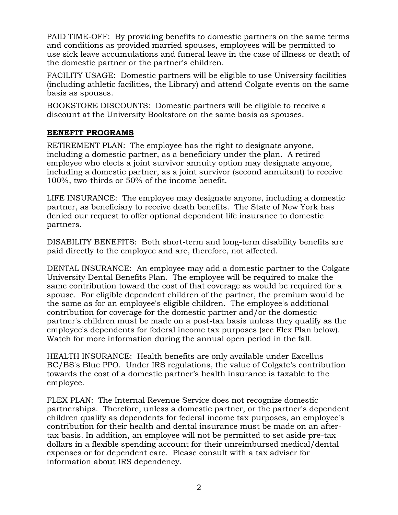PAID TIME-OFF: By providing benefits to domestic partners on the same terms and conditions as provided married spouses, employees will be permitted to use sick leave accumulations and funeral leave in the case of illness or death of the domestic partner or the partner's children.

FACILITY USAGE: Domestic partners will be eligible to use University facilities (including athletic facilities, the Library) and attend Colgate events on the same basis as spouses.

BOOKSTORE DISCOUNTS: Domestic partners will be eligible to receive a discount at the University Bookstore on the same basis as spouses.

#### **BENEFIT PROGRAMS**

RETIREMENT PLAN: The employee has the right to designate anyone, including a domestic partner, as a beneficiary under the plan. A retired employee who elects a joint survivor annuity option may designate anyone, including a domestic partner, as a joint survivor (second annuitant) to receive 100%, two-thirds or 50% of the income benefit.

LIFE INSURANCE: The employee may designate anyone, including a domestic partner, as beneficiary to receive death benefits. The State of New York has denied our request to offer optional dependent life insurance to domestic partners.

DISABILITY BENEFITS: Both short-term and long-term disability benefits are paid directly to the employee and are, therefore, not affected.

DENTAL INSURANCE: An employee may add a domestic partner to the Colgate University Dental Benefits Plan. The employee will be required to make the same contribution toward the cost of that coverage as would be required for a spouse. For eligible dependent children of the partner, the premium would be the same as for an employee's eligible children. The employee's additional contribution for coverage for the domestic partner and/or the domestic partner's children must be made on a post-tax basis unless they qualify as the employee's dependents for federal income tax purposes (see Flex Plan below). Watch for more information during the annual open period in the fall.

HEALTH INSURANCE: Health benefits are only available under Excellus BC/BS's Blue PPO. Under IRS regulations, the value of Colgate's contribution towards the cost of a domestic partner's health insurance is taxable to the employee.

FLEX PLAN: The Internal Revenue Service does not recognize domestic partnerships. Therefore, unless a domestic partner, or the partner's dependent children qualify as dependents for federal income tax purposes, an employee's contribution for their health and dental insurance must be made on an aftertax basis. In addition, an employee will not be permitted to set aside pre-tax dollars in a flexible spending account for their unreimbursed medical/dental expenses or for dependent care. Please consult with a tax adviser for information about IRS dependency.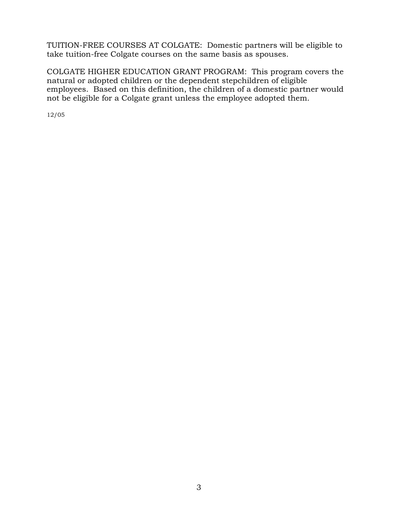TUITION-FREE COURSES AT COLGATE: Domestic partners will be eligible to take tuition-free Colgate courses on the same basis as spouses.

COLGATE HIGHER EDUCATION GRANT PROGRAM: This program covers the natural or adopted children or the dependent stepchildren of eligible employees. Based on this definition, the children of a domestic partner would not be eligible for a Colgate grant unless the employee adopted them.

12/05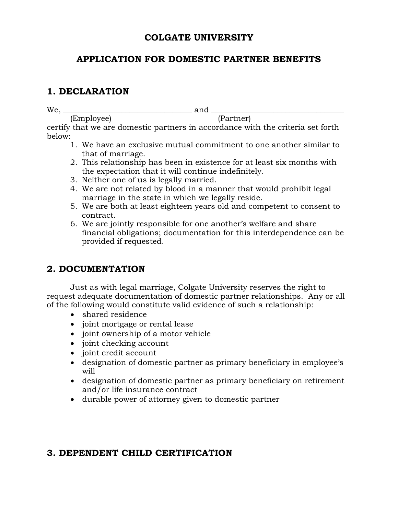#### **COLGATE UNIVERSITY**

### **APPLICATION FOR DOMESTIC PARTNER BENEFITS**

### **1. DECLARATION**

We, \_\_\_\_\_\_\_\_\_\_\_\_\_\_\_\_\_\_\_\_\_\_\_\_\_\_\_\_\_\_\_\_\_ and \_\_\_\_\_\_\_\_\_\_\_\_\_\_\_\_\_\_\_\_\_\_\_\_\_\_\_\_\_\_\_\_\_\_

(Employee) (Partner) certify that we are domestic partners in accordance with the criteria set forth below:

- 1. We have an exclusive mutual commitment to one another similar to that of marriage.
- 2. This relationship has been in existence for at least six months with the expectation that it will continue indefinitely.
- 3. Neither one of us is legally married.
- 4. We are not related by blood in a manner that would prohibit legal marriage in the state in which we legally reside.
- 5. We are both at least eighteen years old and competent to consent to contract.
- 6. We are jointly responsible for one another's welfare and share financial obligations; documentation for this interdependence can be provided if requested.

# **2. DOCUMENTATION**

Just as with legal marriage, Colgate University reserves the right to request adequate documentation of domestic partner relationships. Any or all of the following would constitute valid evidence of such a relationship:

- shared residence
- joint mortgage or rental lease
- joint ownership of a motor vehicle
- joint checking account
- joint credit account
- designation of domestic partner as primary beneficiary in employee's will
- designation of domestic partner as primary beneficiary on retirement and/or life insurance contract
- durable power of attorney given to domestic partner

### **3. DEPENDENT CHILD CERTIFICATION**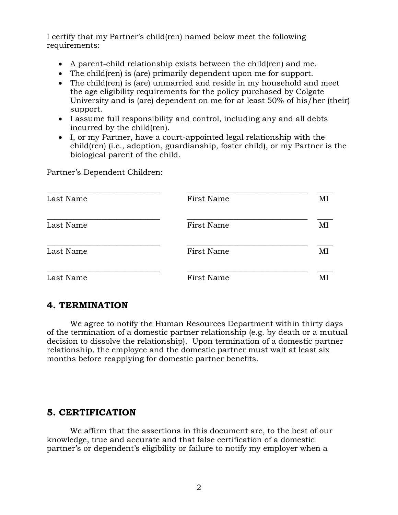I certify that my Partner's child(ren) named below meet the following requirements:

- A parent-child relationship exists between the child(ren) and me.
- The child(ren) is (are) primarily dependent upon me for support.
- The child(ren) is (are) unmarried and reside in my household and meet the age eligibility requirements for the policy purchased by Colgate University and is (are) dependent on me for at least 50% of his/her (their) support.
- I assume full responsibility and control, including any and all debts incurred by the child(ren).
- I, or my Partner, have a court-appointed legal relationship with the child(ren) (i.e., adoption, guardianship, foster child), or my Partner is the biological parent of the child.

Partner's Dependent Children:

| Last Name | First Name | MI |
|-----------|------------|----|
| Last Name | First Name | MI |
| Last Name | First Name | MI |
| Last Name | First Name | MI |

## **4. TERMINATION**

We agree to notify the Human Resources Department within thirty days of the termination of a domestic partner relationship (e.g. by death or a mutual decision to dissolve the relationship). Upon termination of a domestic partner relationship, the employee and the domestic partner must wait at least six months before reapplying for domestic partner benefits.

### **5. CERTIFICATION**

We affirm that the assertions in this document are, to the best of our knowledge, true and accurate and that false certification of a domestic partner's or dependent's eligibility or failure to notify my employer when a